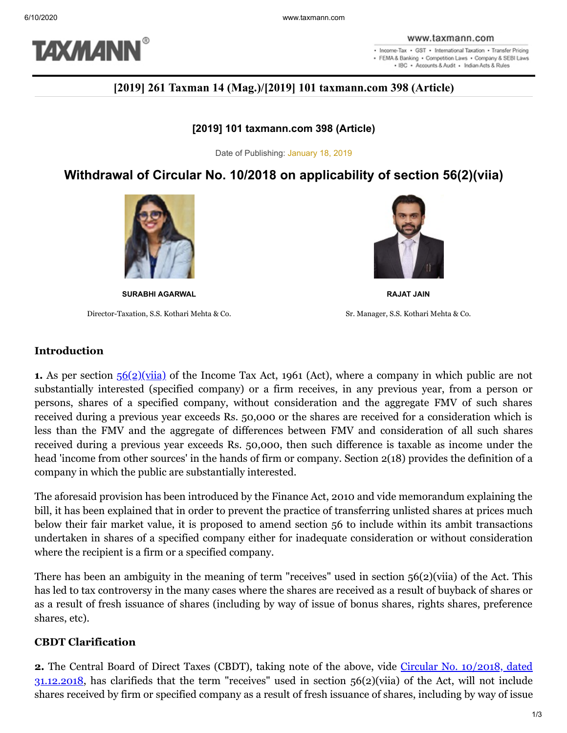

. Income-Tax . GST . International Taxation . Transfer Pricing · FEMA & Banking · Competition Laws · Company & SEBI Laws . IBC . Accounts & Audit . Indian Acts & Rules

# **[2019] 261 Taxman 14 (Mag.)/[2019] 101 taxmann.com 398 (Article)**

#### **[2019] 101 taxmann.com 398 (Article)**

Date of Publishing: January 18, 2019

# **Withdrawal of Circular No. 10/2018 on applicability of section 56(2)(viia)**



Director-Taxation, S.S. Kothari Mehta & Co. Sr. Manager, S.S. Kothari Mehta & Co.



**SURABHI AGARWAL RAJAT JAIN**

### **Introduction**

**1.** As per section  $\frac{56(2)(via)}{2}$  of the Income Tax Act, 1961 (Act), where a company in which public are not substantially interested (specified company) or a firm receives, in any previous year, from a person or persons, shares of a specified company, without consideration and the aggregate FMV of such shares received during a previous year exceeds Rs. 50,000 or the shares are received for a consideration which is less than the FMV and the aggregate of differences between FMV and consideration of all such shares received during a previous year exceeds Rs. 50,000, then such difference is taxable as income under the head 'income from other sources' in the hands of firm or company. Section 2(18) provides the definition of a company in which the public are substantially interested.

The aforesaid provision has been introduced by the Finance Act, 2010 and vide memorandum explaining the bill, it has been explained that in order to prevent the practice of transferring unlisted shares at prices much below their fair market value, it is proposed to amend section 56 to include within its ambit transactions undertaken in shares of a specified company either for inadequate consideration or without consideration where the recipient is a firm or a specified company.

There has been an ambiguity in the meaning of term "receives" used in section 56(2)(viia) of the Act. This has led to tax controversy in the many cases where the shares are received as a result of buyback of shares or as a result of fresh issuance of shares (including by way of issue of bonus shares, rights shares, preference shares, etc).

### **CBDT Clarification**

**2.** The Central Board of Direct Taxes (CBDT), taking note of the above, vide Circular No. 10/2018, dated  $31.12.2018$ , has clarifieds that the term "receives" used in section  $56(2)$ (viia) of the Act, will not include shares received by firm or specified company as a result of fresh issuance of shares, including by way of issue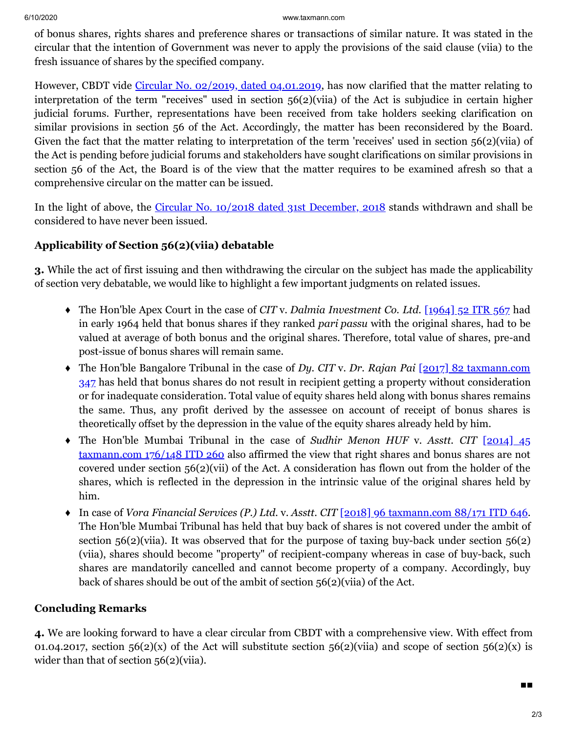#### 6/10/2020 www.taxmann.com

of bonus shares, rights shares and preference shares or transactions of similar nature. It was stated in the circular that the intention of Government was never to apply the provisions of the said clause (viia) to the fresh issuance of shares by the specified company.

However, CBDT vide [Circular No. 02/2019, dated 04.01.2019](https://www.taxmann.com/fileopen.aspx?id=104010000000060111&source=link), has now clarified that the matter relating to interpretation of the term "receives" used in section 56(2)(viia) of the Act is subjudice in certain higher judicial forums. Further, representations have been received from take holders seeking clarification on similar provisions in section 56 of the Act. Accordingly, the matter has been reconsidered by the Board. Given the fact that the matter relating to interpretation of the term 'receives' used in section 56(2)(viia) of the Act is pending before judicial forums and stakeholders have sought clarifications on similar provisions in section 56 of the Act, the Board is of the view that the matter requires to be examined afresh so that a comprehensive circular on the matter can be issued.

In the light of above, the [Circular No. 10/2018 dated 31st December, 2018](https://www.taxmann.com/fileopen.aspx?id=104010000000060093&source=link) stands withdrawn and shall be considered to have never been issued.

## **Applicability of Section 56(2)(viia) debatable**

**3.** While the act of first issuing and then withdrawing the circular on the subject has made the applicability of section very debatable, we would like to highlight a few important judgments on related issues.

- The Hon'ble Apex Court in the case of *CIT* v. *Dalmia Investment Co. Ltd.* [\[1964\] 52 ITR 567](https://www.taxmann.com/fileopen.aspx?id=101010000000079107&source=link) had in early 1964 held that bonus shares if they ranked *pari passu* with the original shares, had to be valued at average of both bonus and the original shares. Therefore, total value of shares, pre-and post-issue of bonus shares will remain same.
- ♦ The Hon'ble Bangalore Tribunal in the case of *Dy. CIT* v. *Dr. Rajan Pai* [2017] 82 taxmann.com 347 [has held that bonus shares do not result in recipient getting a property without consideration](https://www.taxmann.com/fileopen.aspx?id=101010000000168350&source=link) or for inadequate consideration. Total value of equity shares held along with bonus shares remains the same. Thus, any profit derived by the assessee on account of receipt of bonus shares is theoretically offset by the depression in the value of the equity shares already held by him.
- ♦ The Hon'ble Mumbai Tribunal in the case of *Sudhir Menon HUF* v. *Asstt. CIT* [2014] 45 taxmann.com 176/148 ITD 260 [also affirmed the view that right shares and bonus shares are not](https://www.taxmann.com/fileopen.aspx?id=101010000000095374&source=link) covered under section 56(2)(vii) of the Act. A consideration has flown out from the holder of the shares, which is reflected in the depression in the intrinsic value of the original shares held by him.
- ♦ In case of *Vora Financial Services (P.) Ltd.* v. *Asstt. CIT* [\[2018\] 96 taxmann.com 88/171 ITD 646](https://www.taxmann.com/fileopen.aspx?id=101010000000182137&source=link). The Hon'ble Mumbai Tribunal has held that buy back of shares is not covered under the ambit of section 56(2)(viia). It was observed that for the purpose of taxing buy-back under section 56(2) (viia), shares should become "property" of recipient-company whereas in case of buy-back, such shares are mandatorily cancelled and cannot become property of a company. Accordingly, buy back of shares should be out of the ambit of section 56(2)(viia) of the Act.

## **Concluding Remarks**

**4.** We are looking forward to have a clear circular from CBDT with a comprehensive view. With effect from 01.04.2017, section  $56(2)(x)$  of the Act will substitute section  $56(2)(via)$  and scope of section  $56(2)(x)$  is wider than that of section 56(2)(viia).

■■